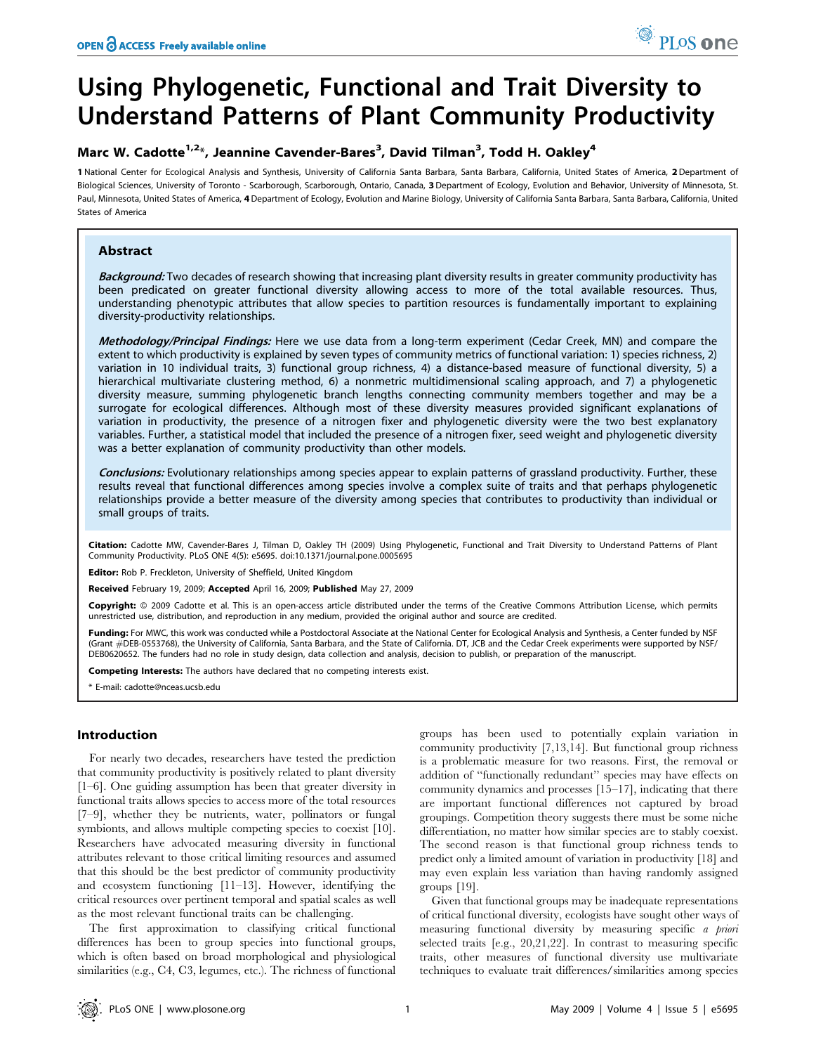# Using Phylogenetic, Functional and Trait Diversity to Understand Patterns of Plant Community Productivity

# Marc W. Cadotte<sup>1,2\*</sup>, Jeannine Cavender-Bares<sup>3</sup>, David Tilman<sup>3</sup>, Todd H. Oakley<sup>4</sup>

1 National Center for Ecological Analysis and Synthesis, University of California Santa Barbara, Santa Barbara, California, United States of America, 2 Department of Biological Sciences, University of Toronto - Scarborough, Scarborough, Ontario, Canada, 3 Department of Ecology, Evolution and Behavior, University of Minnesota, St. Paul, Minnesota, United States of America, 4 Department of Ecology, Evolution and Marine Biology, University of California Santa Barbara, Santa Barbara, California, United States of America

# Abstract

Background: Two decades of research showing that increasing plant diversity results in greater community productivity has been predicated on greater functional diversity allowing access to more of the total available resources. Thus, understanding phenotypic attributes that allow species to partition resources is fundamentally important to explaining diversity-productivity relationships.

Methodology/Principal Findings: Here we use data from a long-term experiment (Cedar Creek, MN) and compare the extent to which productivity is explained by seven types of community metrics of functional variation: 1) species richness, 2) variation in 10 individual traits, 3) functional group richness, 4) a distance-based measure of functional diversity, 5) a hierarchical multivariate clustering method, 6) a nonmetric multidimensional scaling approach, and 7) a phylogenetic diversity measure, summing phylogenetic branch lengths connecting community members together and may be a surrogate for ecological differences. Although most of these diversity measures provided significant explanations of variation in productivity, the presence of a nitrogen fixer and phylogenetic diversity were the two best explanatory variables. Further, a statistical model that included the presence of a nitrogen fixer, seed weight and phylogenetic diversity was a better explanation of community productivity than other models.

Conclusions: Evolutionary relationships among species appear to explain patterns of grassland productivity. Further, these results reveal that functional differences among species involve a complex suite of traits and that perhaps phylogenetic relationships provide a better measure of the diversity among species that contributes to productivity than individual or small groups of traits.

Citation: Cadotte MW, Cavender-Bares J, Tilman D, Oakley TH (2009) Using Phylogenetic, Functional and Trait Diversity to Understand Patterns of Plant Community Productivity. PLoS ONE 4(5): e5695. doi:10.1371/journal.pone.0005695

Editor: Rob P. Freckleton, University of Sheffield, United Kingdom

Received February 19, 2009; Accepted April 16, 2009; Published May 27, 2009

Copyright: © 2009 Cadotte et al. This is an open-access article distributed under the terms of the Creative Commons Attribution License, which permits unrestricted use, distribution, and reproduction in any medium, provided the original author and source are credited.

Funding: For MWC, this work was conducted while a Postdoctoral Associate at the National Center for Ecological Analysis and Synthesis, a Center funded by NSF (Grant *#*DEB-0553768), the University of California, Santa Barbara, and the State of California. DT, JCB and the Cedar Creek experiments were supported by NSF/ DEB0620652. The funders had no role in study design, data collection and analysis, decision to publish, or preparation of the manuscript.

Competing Interests: The authors have declared that no competing interests exist.

\* E-mail: cadotte@nceas.ucsb.edu

# Introduction

For nearly two decades, researchers have tested the prediction that community productivity is positively related to plant diversity [1–6]. One guiding assumption has been that greater diversity in functional traits allows species to access more of the total resources [7–9], whether they be nutrients, water, pollinators or fungal symbionts, and allows multiple competing species to coexist [10]. Researchers have advocated measuring diversity in functional attributes relevant to those critical limiting resources and assumed that this should be the best predictor of community productivity and ecosystem functioning [11–13]. However, identifying the critical resources over pertinent temporal and spatial scales as well as the most relevant functional traits can be challenging.

The first approximation to classifying critical functional differences has been to group species into functional groups, which is often based on broad morphological and physiological similarities (e.g., C4, C3, legumes, etc.). The richness of functional groups has been used to potentially explain variation in community productivity [7,13,14]. But functional group richness is a problematic measure for two reasons. First, the removal or addition of ''functionally redundant'' species may have effects on community dynamics and processes [15–17], indicating that there are important functional differences not captured by broad groupings. Competition theory suggests there must be some niche differentiation, no matter how similar species are to stably coexist. The second reason is that functional group richness tends to predict only a limited amount of variation in productivity [18] and may even explain less variation than having randomly assigned groups [19].

Given that functional groups may be inadequate representations of critical functional diversity, ecologists have sought other ways of measuring functional diversity by measuring specific a priori selected traits [e.g., 20,21,22]. In contrast to measuring specific traits, other measures of functional diversity use multivariate techniques to evaluate trait differences/similarities among species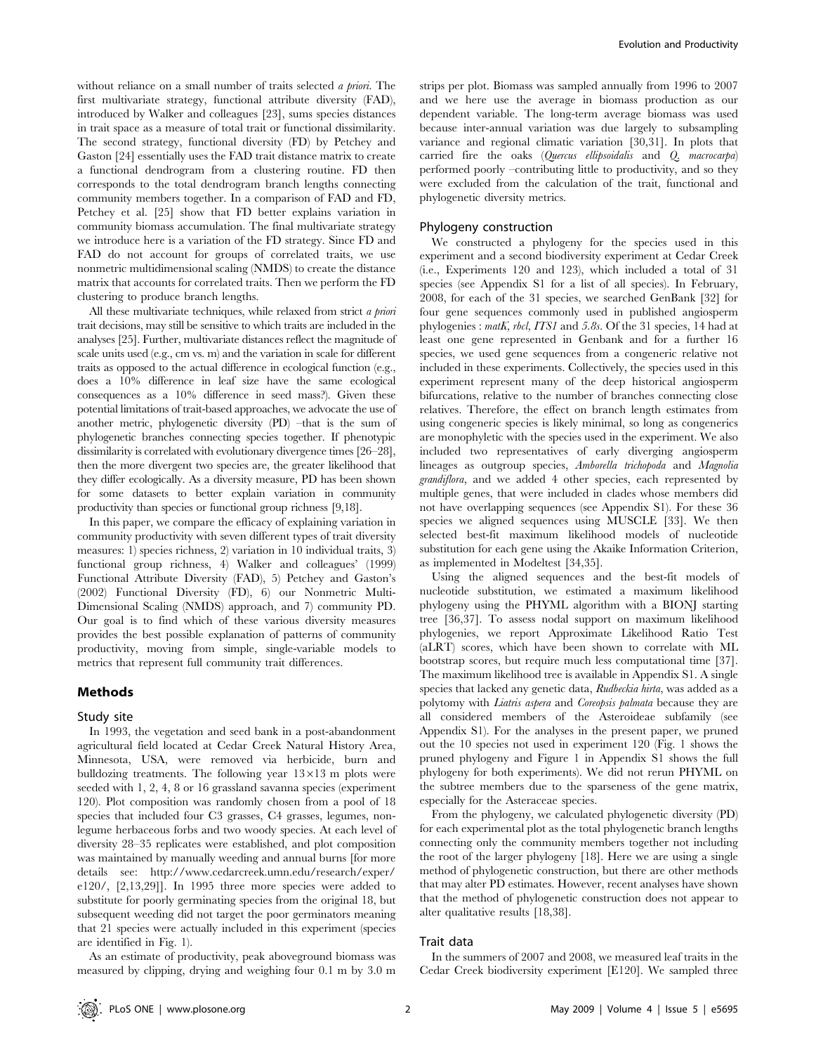without reliance on a small number of traits selected a priori. The first multivariate strategy, functional attribute diversity (FAD), introduced by Walker and colleagues [23], sums species distances in trait space as a measure of total trait or functional dissimilarity. The second strategy, functional diversity (FD) by Petchey and Gaston [24] essentially uses the FAD trait distance matrix to create a functional dendrogram from a clustering routine. FD then corresponds to the total dendrogram branch lengths connecting community members together. In a comparison of FAD and FD, Petchey et al. [25] show that FD better explains variation in community biomass accumulation. The final multivariate strategy we introduce here is a variation of the FD strategy. Since FD and FAD do not account for groups of correlated traits, we use nonmetric multidimensional scaling (NMDS) to create the distance matrix that accounts for correlated traits. Then we perform the FD clustering to produce branch lengths.

All these multivariate techniques, while relaxed from strict a priori trait decisions, may still be sensitive to which traits are included in the analyses [25]. Further, multivariate distances reflect the magnitude of scale units used (e.g., cm vs. m) and the variation in scale for different traits as opposed to the actual difference in ecological function (e.g., does a 10% difference in leaf size have the same ecological consequences as a 10% difference in seed mass?). Given these potential limitations of trait-based approaches, we advocate the use of another metric, phylogenetic diversity (PD) –that is the sum of phylogenetic branches connecting species together. If phenotypic dissimilarity is correlated with evolutionary divergence times [26–28], then the more divergent two species are, the greater likelihood that they differ ecologically. As a diversity measure, PD has been shown for some datasets to better explain variation in community productivity than species or functional group richness [9,18].

In this paper, we compare the efficacy of explaining variation in community productivity with seven different types of trait diversity measures: 1) species richness, 2) variation in 10 individual traits, 3) functional group richness, 4) Walker and colleagues' (1999) Functional Attribute Diversity (FAD), 5) Petchey and Gaston's (2002) Functional Diversity (FD), 6) our Nonmetric Multi-Dimensional Scaling (NMDS) approach, and 7) community PD. Our goal is to find which of these various diversity measures provides the best possible explanation of patterns of community productivity, moving from simple, single-variable models to metrics that represent full community trait differences.

## Methods

#### Study site

In 1993, the vegetation and seed bank in a post-abandonment agricultural field located at Cedar Creek Natural History Area, Minnesota, USA, were removed via herbicide, burn and bulldozing treatments. The following year  $13\times13$  m plots were seeded with 1, 2, 4, 8 or 16 grassland savanna species (experiment 120). Plot composition was randomly chosen from a pool of 18 species that included four C3 grasses, C4 grasses, legumes, nonlegume herbaceous forbs and two woody species. At each level of diversity 28–35 replicates were established, and plot composition was maintained by manually weeding and annual burns [for more details see: http://www.cedarcreek.umn.edu/research/exper/ e120/, [2,13,29]]. In 1995 three more species were added to substitute for poorly germinating species from the original 18, but subsequent weeding did not target the poor germinators meaning that 21 species were actually included in this experiment (species are identified in Fig. 1).

As an estimate of productivity, peak aboveground biomass was measured by clipping, drying and weighing four 0.1 m by 3.0 m strips per plot. Biomass was sampled annually from 1996 to 2007 and we here use the average in biomass production as our dependent variable. The long-term average biomass was used because inter-annual variation was due largely to subsampling variance and regional climatic variation [30,31]. In plots that carried fire the oaks (Quercus ellipsoidalis and Q. macrocarpa) performed poorly –contributing little to productivity, and so they were excluded from the calculation of the trait, functional and phylogenetic diversity metrics.

#### Phylogeny construction

We constructed a phylogeny for the species used in this experiment and a second biodiversity experiment at Cedar Creek (i.e., Experiments 120 and 123), which included a total of 31 species (see Appendix S1 for a list of all species). In February, 2008, for each of the 31 species, we searched GenBank [32] for four gene sequences commonly used in published angiosperm phylogenies : matK, rbcl, ITS1 and 5.8s. Of the 31 species, 14 had at least one gene represented in Genbank and for a further 16 species, we used gene sequences from a congeneric relative not included in these experiments. Collectively, the species used in this experiment represent many of the deep historical angiosperm bifurcations, relative to the number of branches connecting close relatives. Therefore, the effect on branch length estimates from using congeneric species is likely minimal, so long as congenerics are monophyletic with the species used in the experiment. We also included two representatives of early diverging angiosperm lineages as outgroup species, Amborella trichopoda and Magnolia grandiflora, and we added 4 other species, each represented by multiple genes, that were included in clades whose members did not have overlapping sequences (see Appendix S1). For these 36 species we aligned sequences using MUSCLE [33]. We then selected best-fit maximum likelihood models of nucleotide substitution for each gene using the Akaike Information Criterion, as implemented in Modeltest [34,35].

Using the aligned sequences and the best-fit models of nucleotide substitution, we estimated a maximum likelihood phylogeny using the PHYML algorithm with a BIONJ starting tree [36,37]. To assess nodal support on maximum likelihood phylogenies, we report Approximate Likelihood Ratio Test (aLRT) scores, which have been shown to correlate with ML bootstrap scores, but require much less computational time [37]. The maximum likelihood tree is available in Appendix S1. A single species that lacked any genetic data, Rudbeckia hirta, was added as a polytomy with Liatris aspera and Coreopsis palmata because they are all considered members of the Asteroideae subfamily (see Appendix S1). For the analyses in the present paper, we pruned out the 10 species not used in experiment 120 (Fig. 1 shows the pruned phylogeny and Figure 1 in Appendix S1 shows the full phylogeny for both experiments). We did not rerun PHYML on the subtree members due to the sparseness of the gene matrix, especially for the Asteraceae species.

From the phylogeny, we calculated phylogenetic diversity (PD) for each experimental plot as the total phylogenetic branch lengths connecting only the community members together not including the root of the larger phylogeny [18]. Here we are using a single method of phylogenetic construction, but there are other methods that may alter PD estimates. However, recent analyses have shown that the method of phylogenetic construction does not appear to alter qualitative results [18,38].

#### Trait data

In the summers of 2007 and 2008, we measured leaf traits in the Cedar Creek biodiversity experiment [E120]. We sampled three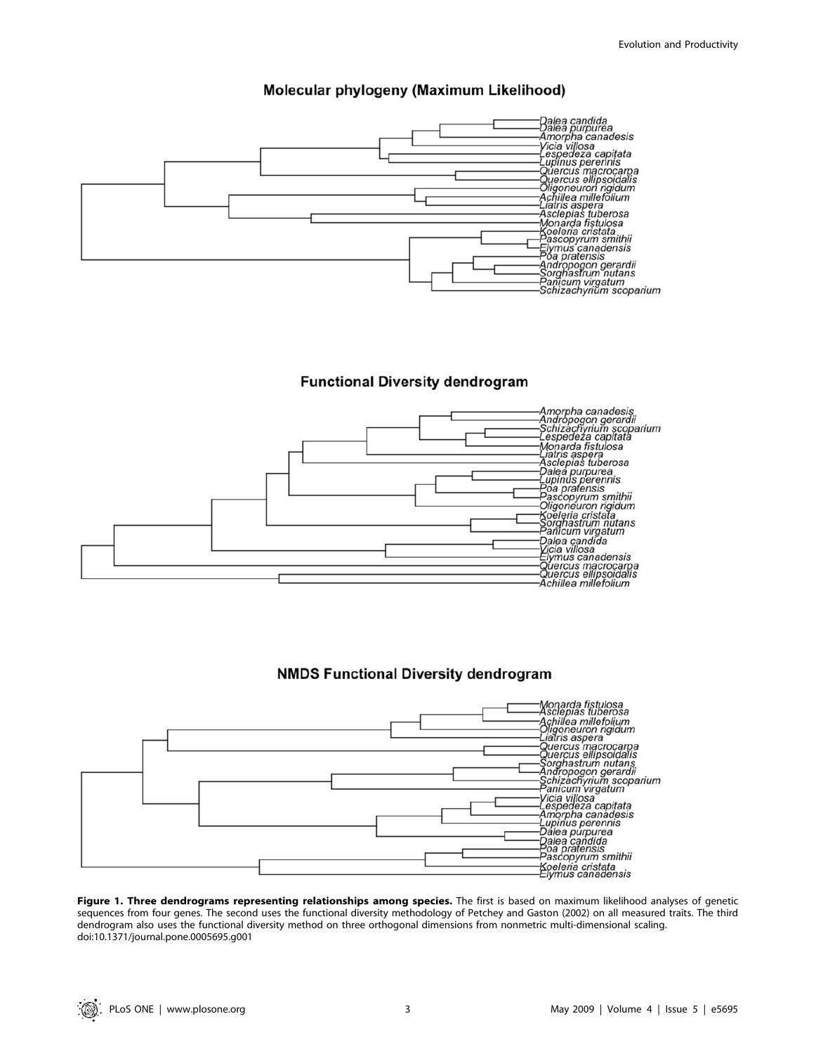# Molecular phylogeny (Maximum Likelihood)



# **Functional Diversity dendrogram**



# **NMDS Functional Diversity dendrogram**



Figure 1. Three dendrograms representing relationships among species. The first is based on maximum likelihood analyses of genetic sequences from four genes. The second uses the functional diversity methodology of Petchey and Gaston (2002) on all measured traits. The third dendrogram also uses the functional diversity method on three orthogonal dimensions from nonmetric multi-dimensional scaling. doi:10.1371/journal.pone.0005695.g001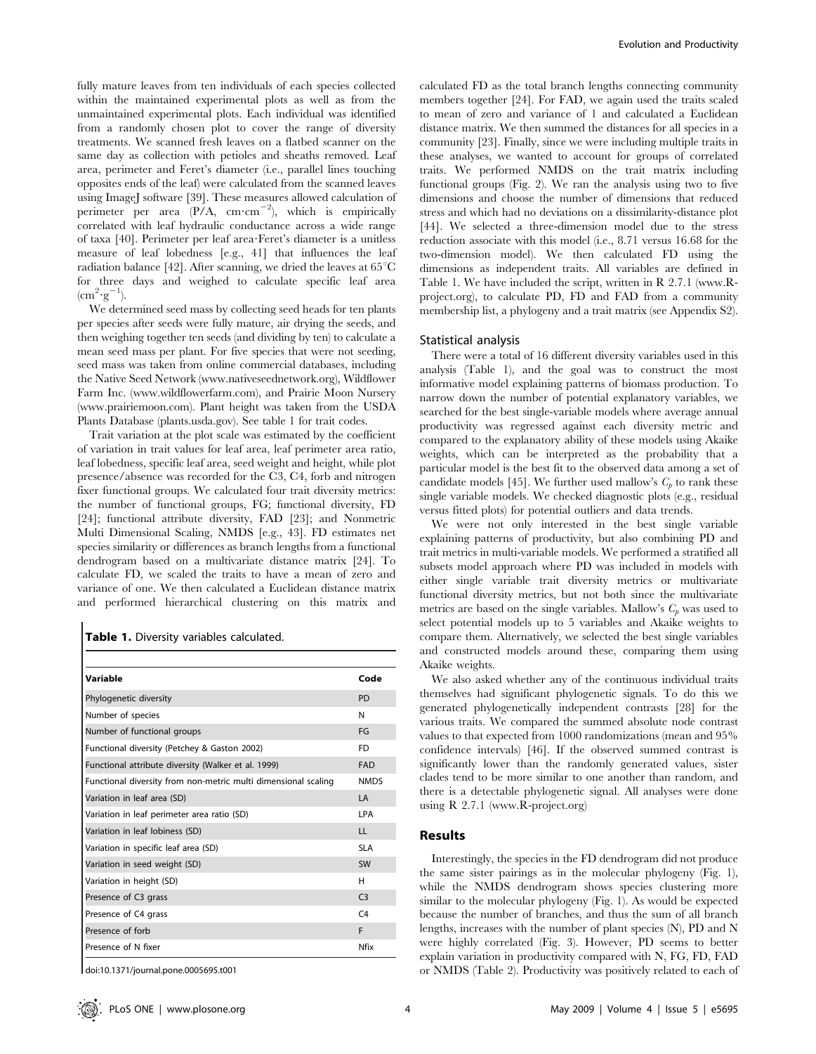fully mature leaves from ten individuals of each species collected within the maintained experimental plots as well as from the unmaintained experimental plots. Each individual was identified from a randomly chosen plot to cover the range of diversity treatments. We scanned fresh leaves on a flatbed scanner on the same day as collection with petioles and sheaths removed. Leaf area, perimeter and Feret's diameter (i.e., parallel lines touching opposites ends of the leaf) were calculated from the scanned leaves using ImageJ software [39]. These measures allowed calculation of perimeter per area  $(P/A, \text{ cm}\cdot\text{cm}^{-2})$ , which is empirically correlated with leaf hydraulic conductance across a wide range of taxa [40]. Perimeter per leaf area?Feret's diameter is a unitless measure of leaf lobedness [e.g., 41] that influences the leaf radiation balance [42]. After scanning, we dried the leaves at 65<sup>°</sup>C for three days and weighed to calculate specific leaf area  $(cm^2 \cdot g^{-1}).$ 

We determined seed mass by collecting seed heads for ten plants per species after seeds were fully mature, air drying the seeds, and then weighing together ten seeds (and dividing by ten) to calculate a mean seed mass per plant. For five species that were not seeding, seed mass was taken from online commercial databases, including the Native Seed Network (www.nativeseednetwork.org), Wildflower Farm Inc. (www.wildflowerfarm.com), and Prairie Moon Nursery (www.prairiemoon.com). Plant height was taken from the USDA Plants Database (plants.usda.gov). See table 1 for trait codes.

Trait variation at the plot scale was estimated by the coefficient of variation in trait values for leaf area, leaf perimeter area ratio, leaf lobedness, specific leaf area, seed weight and height, while plot presence/absence was recorded for the C3, C4, forb and nitrogen fixer functional groups. We calculated four trait diversity metrics: the number of functional groups, FG; functional diversity, FD [24]; functional attribute diversity, FAD [23]; and Nonmetric Multi Dimensional Scaling, NMDS [e.g., 43]. FD estimates net species similarity or differences as branch lengths from a functional dendrogram based on a multivariate distance matrix [24]. To calculate FD, we scaled the traits to have a mean of zero and variance of one. We then calculated a Euclidean distance matrix and performed hierarchical clustering on this matrix and

Table 1. Diversity variables calculated.

| Variable                                                       | Code           |
|----------------------------------------------------------------|----------------|
| Phylogenetic diversity                                         | <b>PD</b>      |
| Number of species                                              | N              |
| Number of functional groups                                    | FG.            |
| Functional diversity (Petchey & Gaston 2002)                   | <b>FD</b>      |
| Functional attribute diversity (Walker et al. 1999)            | <b>FAD</b>     |
| Functional diversity from non-metric multi dimensional scaling | <b>NMDS</b>    |
| Variation in leaf area (SD)                                    | $\overline{A}$ |
| Variation in leaf perimeter area ratio (SD)                    | I PA           |
| Variation in leaf lobiness (SD)                                | $\mathbf{H}$   |
| Variation in specific leaf area (SD)                           | <b>SLA</b>     |
| Variation in seed weight (SD)                                  | SW             |
| Variation in height (SD)                                       | н              |
| Presence of C3 grass                                           | C <sub>3</sub> |
| Presence of C4 grass                                           | C <sub>4</sub> |
| Presence of forb                                               | F              |
| Presence of N fixer                                            | Nfix           |

doi:10.1371/journal.pone.0005695.t001

calculated FD as the total branch lengths connecting community members together [24]. For FAD, we again used the traits scaled to mean of zero and variance of 1 and calculated a Euclidean distance matrix. We then summed the distances for all species in a community [23]. Finally, since we were including multiple traits in these analyses, we wanted to account for groups of correlated traits. We performed NMDS on the trait matrix including functional groups (Fig. 2). We ran the analysis using two to five dimensions and choose the number of dimensions that reduced stress and which had no deviations on a dissimilarity-distance plot [44]. We selected a three-dimension model due to the stress reduction associate with this model (i.e., 8.71 versus 16.68 for the two-dimension model). We then calculated FD using the dimensions as independent traits. All variables are defined in Table 1. We have included the script, written in R 2.7.1 (www.Rproject.org), to calculate PD, FD and FAD from a community membership list, a phylogeny and a trait matrix (see Appendix S2).

#### Statistical analysis

There were a total of 16 different diversity variables used in this analysis (Table 1), and the goal was to construct the most informative model explaining patterns of biomass production. To narrow down the number of potential explanatory variables, we searched for the best single-variable models where average annual productivity was regressed against each diversity metric and compared to the explanatory ability of these models using Akaike weights, which can be interpreted as the probability that a particular model is the best fit to the observed data among a set of candidate models [45]. We further used mallow's  $C<sub>b</sub>$  to rank these single variable models. We checked diagnostic plots (e.g., residual versus fitted plots) for potential outliers and data trends.

We were not only interested in the best single variable explaining patterns of productivity, but also combining PD and trait metrics in multi-variable models. We performed a stratified all subsets model approach where PD was included in models with either single variable trait diversity metrics or multivariate functional diversity metrics, but not both since the multivariate metrics are based on the single variables. Mallow's  $C_p$  was used to select potential models up to 5 variables and Akaike weights to compare them. Alternatively, we selected the best single variables and constructed models around these, comparing them using Akaike weights.

We also asked whether any of the continuous individual traits themselves had significant phylogenetic signals. To do this we generated phylogenetically independent contrasts [28] for the various traits. We compared the summed absolute node contrast values to that expected from 1000 randomizations (mean and 95% confidence intervals) [46]. If the observed summed contrast is significantly lower than the randomly generated values, sister clades tend to be more similar to one another than random, and there is a detectable phylogenetic signal. All analyses were done using R 2.7.1 (www.R-project.org)

# Results

Interestingly, the species in the FD dendrogram did not produce the same sister pairings as in the molecular phylogeny (Fig. 1), while the NMDS dendrogram shows species clustering more similar to the molecular phylogeny (Fig. 1). As would be expected because the number of branches, and thus the sum of all branch lengths, increases with the number of plant species (N), PD and N were highly correlated (Fig. 3). However, PD seems to better explain variation in productivity compared with N, FG, FD, FAD or NMDS (Table 2). Productivity was positively related to each of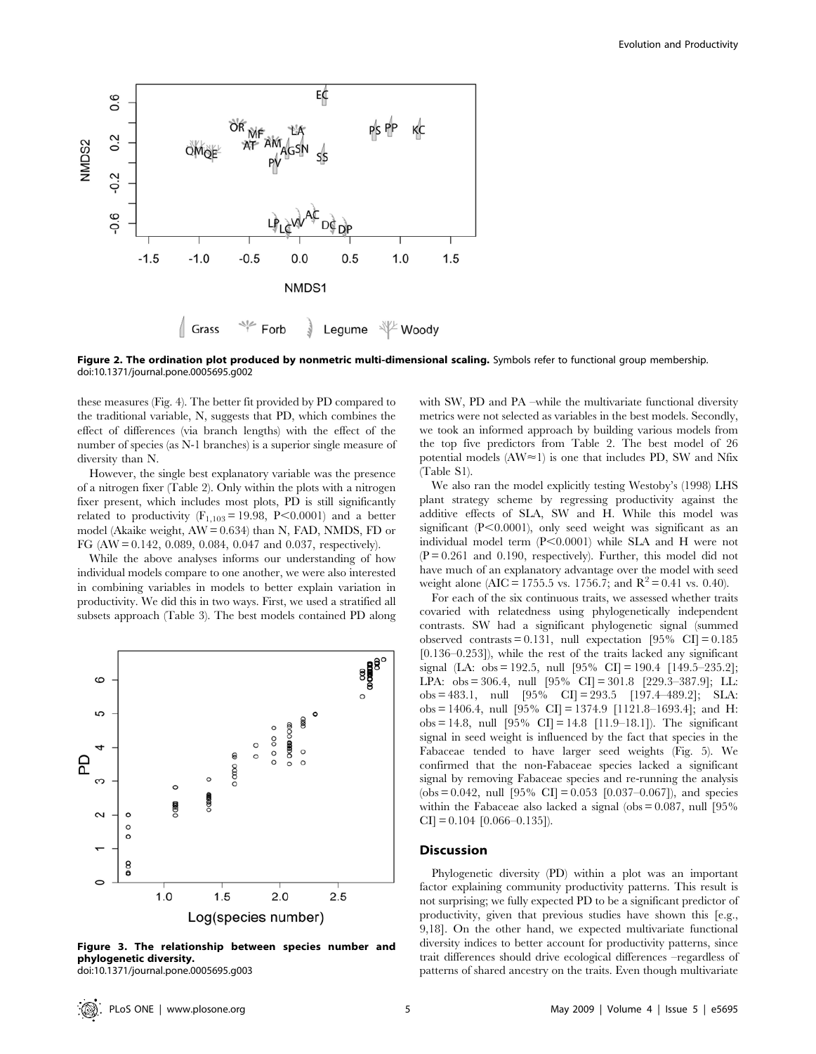

Figure 2. The ordination plot produced by nonmetric multi-dimensional scaling. Symbols refer to functional group membership. doi:10.1371/journal.pone.0005695.g002

these measures (Fig. 4). The better fit provided by PD compared to the traditional variable, N, suggests that PD, which combines the effect of differences (via branch lengths) with the effect of the number of species (as N-1 branches) is a superior single measure of diversity than N.

However, the single best explanatory variable was the presence of a nitrogen fixer (Table 2). Only within the plots with a nitrogen fixer present, which includes most plots, PD is still significantly related to productivity  $(F_{1,103} = 19.98, P \le 0.0001)$  and a better model (Akaike weight, AW = 0.634) than N, FAD, NMDS, FD or FG (AW = 0.142, 0.089, 0.084, 0.047 and 0.037, respectively).

While the above analyses informs our understanding of how individual models compare to one another, we were also interested in combining variables in models to better explain variation in productivity. We did this in two ways. First, we used a stratified all subsets approach (Table 3). The best models contained PD along



Figure 3. The relationship between species number and phylogenetic diversity. doi:10.1371/journal.pone.0005695.g003

with SW, PD and PA –while the multivariate functional diversity metrics were not selected as variables in the best models. Secondly, we took an informed approach by building various models from the top five predictors from Table 2. The best model of 26 potential models (AW $\approx$ 1) is one that includes PD, SW and Nfix (Table S1).

We also ran the model explicitly testing Westoby's (1998) LHS plant strategy scheme by regressing productivity against the additive effects of SLA, SW and H. While this model was significant  $(P<0.0001)$ , only seed weight was significant as an individual model term  $(P<0.0001)$  while SLA and H were not  $(P = 0.261$  and 0.190, respectively). Further, this model did not have much of an explanatory advantage over the model with seed weight alone (AIC = 1755.5 vs. 1756.7; and  $R^2 = 0.41$  vs. 0.40).

For each of the six continuous traits, we assessed whether traits covaried with relatedness using phylogenetically independent contrasts. SW had a significant phylogenetic signal (summed observed contrasts = 0.131, null expectation  $[95\% \text{ CI}] = 0.185$ [0.136–0.253]), while the rest of the traits lacked any significant signal (LA: obs = 192.5, null [95% CI] = 190.4 [149.5–235.2]; LPA: obs = 306.4, null [95% CI] = 301.8 [229.3–387.9]; LL:  $obs = 483.1$ , null  $[95\% \text{ CI}] = 293.5 \{197.4-489.2\}; \text{SLA}:$ obs = 1406.4, null  $[95\% \text{ CI}] = 1374.9 \text{ [}1121.8-1693.4]$ ; and H: obs = 14.8, null [95% CI] = 14.8 [11.9–18.1]). The significant signal in seed weight is influenced by the fact that species in the Fabaceae tended to have larger seed weights (Fig. 5). We confirmed that the non-Fabaceae species lacked a significant signal by removing Fabaceae species and re-running the analysis  $(obs = 0.042, null [95\% CI] = 0.053 [0.037-0.067], and species$ within the Fabaceae also lacked a signal (obs  $= 0.087$ , null [95%]  $CI$ ] = 0.104 [0.066–0.135]).

# Discussion

Phylogenetic diversity (PD) within a plot was an important factor explaining community productivity patterns. This result is not surprising; we fully expected PD to be a significant predictor of productivity, given that previous studies have shown this [e.g., 9,18]. On the other hand, we expected multivariate functional diversity indices to better account for productivity patterns, since trait differences should drive ecological differences –regardless of patterns of shared ancestry on the traits. Even though multivariate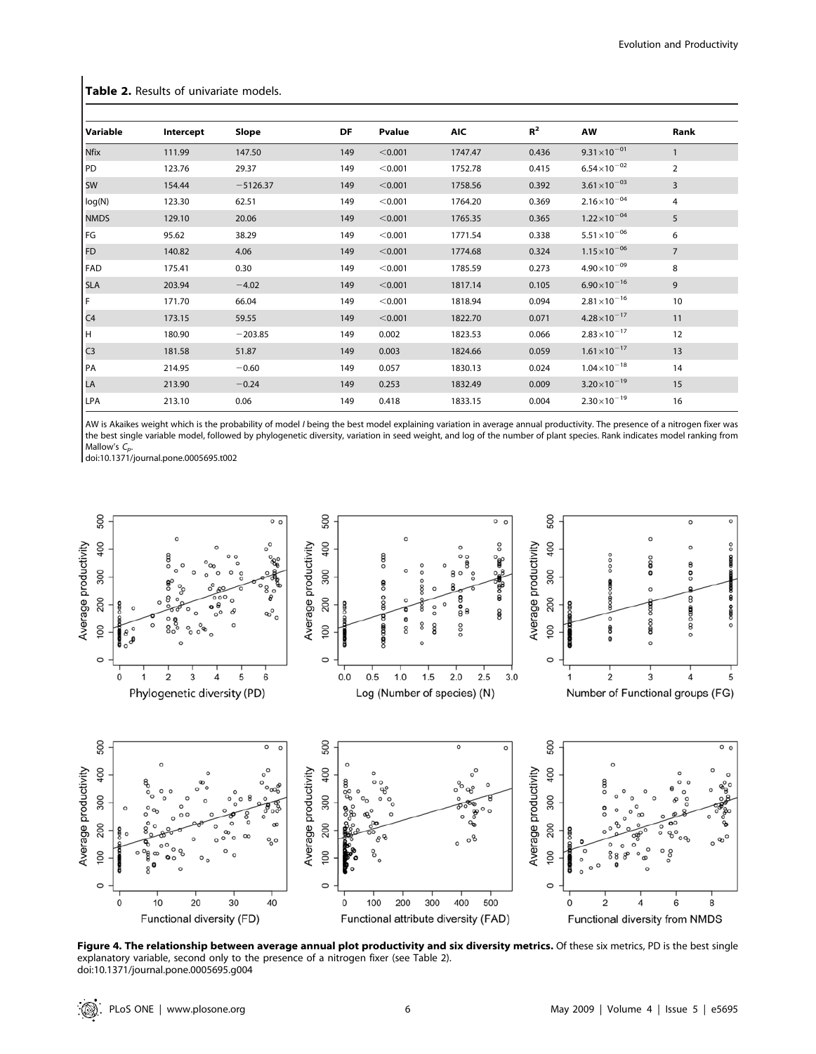Table 2. Results of univariate models.

| Variable        | Intercept | Slope      | DF  | Pvalue  | <b>AIC</b> | $R^2$ | AW                     | Rank           |  |
|-----------------|-----------|------------|-----|---------|------------|-------|------------------------|----------------|--|
| Nfix            | 111.99    | 147.50     | 149 | < 0.001 | 1747.47    | 0.436 | $9.31 \times 10^{-01}$ | $\mathbf{1}$   |  |
| PD <sup>1</sup> | 123.76    | 29.37      | 149 | < 0.001 | 1752.78    | 0.415 | $6.54\times10^{-02}$   | $\overline{2}$ |  |
| <b>SW</b>       | 154.44    | $-5126.37$ | 149 | < 0.001 | 1758.56    | 0.392 | $3.61 \times 10^{-03}$ | 3              |  |
| log(N)          | 123.30    | 62.51      | 149 | < 0.001 | 1764.20    | 0.369 | $2.16 \times 10^{-04}$ | 4              |  |
| <b>NMDS</b>     | 129.10    | 20.06      | 149 | < 0.001 | 1765.35    | 0.365 | $1.22 \times 10^{-04}$ | 5              |  |
| FG              | 95.62     | 38.29      | 149 | < 0.001 | 1771.54    | 0.338 | $5.51 \times 10^{-06}$ | 6              |  |
| FD              | 140.82    | 4.06       | 149 | < 0.001 | 1774.68    | 0.324 | $1.15 \times 10^{-06}$ | $\overline{7}$ |  |
| FAD             | 175.41    | 0.30       | 149 | < 0.001 | 1785.59    | 0.273 | $4.90\times10^{-09}$   | 8              |  |
| <b>SLA</b>      | 203.94    | $-4.02$    | 149 | < 0.001 | 1817.14    | 0.105 | $6.90\times10^{-16}$   | 9              |  |
| F               | 171.70    | 66.04      | 149 | < 0.001 | 1818.94    | 0.094 | $2.81 \times 10^{-16}$ | 10             |  |
| C <sub>4</sub>  | 173.15    | 59.55      | 149 | < 0.001 | 1822.70    | 0.071 | $4.28 \times 10^{-17}$ | 11             |  |
|                 | 180.90    | $-203.85$  | 149 | 0.002   | 1823.53    | 0.066 | $2.83 \times 10^{-17}$ | 12             |  |
| $\frac{H}{C3}$  | 181.58    | 51.87      | 149 | 0.003   | 1824.66    | 0.059 | $1.61 \times 10^{-17}$ | 13             |  |
| PA              | 214.95    | $-0.60$    | 149 | 0.057   | 1830.13    | 0.024 | $1.04\times10^{-18}$   | 14             |  |
| LA              | 213.90    | $-0.24$    | 149 | 0.253   | 1832.49    | 0.009 | $3.20 \times 10^{-19}$ | 15             |  |
| LPA             | 213.10    | 0.06       | 149 | 0.418   | 1833.15    | 0.004 | $2.30 \times 10^{-19}$ | 16             |  |

AW is Akaikes weight which is the probability of model *I* being the best model explaining variation in average annual productivity. The presence of a nitrogen fixer was the best single variable model, followed by phylogenetic diversity, variation in seed weight, and log of the number of plant species. Rank indicates model ranking from Mallow's  $C_p$ 

doi:10.1371/journal.pone.0005695.t002



Figure 4. The relationship between average annual plot productivity and six diversity metrics. Of these six metrics, PD is the best single explanatory variable, second only to the presence of a nitrogen fixer (see Table 2). doi:10.1371/journal.pone.0005695.g004

: ©).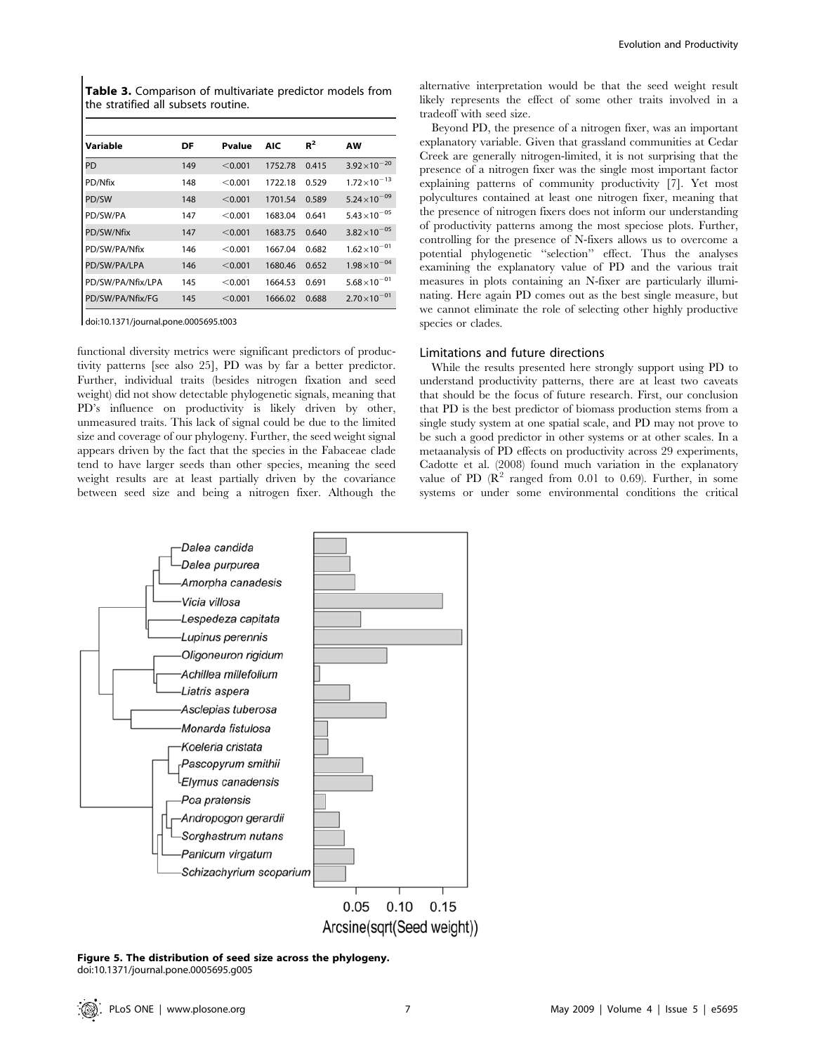Table 3. Comparison of multivariate predictor models from the stratified all subsets routine.

| Variable          | DF  | Pvalue  | <b>AIC</b> | $R^2$ | <b>AW</b>              |
|-------------------|-----|---------|------------|-------|------------------------|
| PD                | 149 | < 0.001 | 1752.78    | 0.415 | $3.92 \times 10^{-20}$ |
| PD/Nfix           | 148 | < 0.001 | 1722.18    | 0.529 | $1.72 \times 10^{-13}$ |
| PD/SW             | 148 | < 0.001 | 1701.54    | 0.589 | $5.24 \times 10^{-09}$ |
| PD/SW/PA          | 147 | < 0.001 | 1683.04    | 0.641 | $5.43 \times 10^{-05}$ |
| PD/SW/Nfix        | 147 | < 0.001 | 1683.75    | 0.640 | $3.82\times10^{-05}$   |
| PD/SW/PA/Nfix     | 146 | < 0.001 | 1667.04    | 0.682 | $1.62\times10^{-01}$   |
| PD/SW/PA/LPA      | 146 | < 0.001 | 1680.46    | 0.652 | $1.98\times10^{-04}$   |
| PD/SW/PA/Nfix/LPA | 145 | < 0.001 | 1664.53    | 0.691 | $5.68\times10^{-01}$   |
| PD/SW/PA/Nfix/FG  | 145 | < 0.001 | 1666.02    | 0.688 | $2.70\times10^{-01}$   |

doi:10.1371/journal.pone.0005695.t003

functional diversity metrics were significant predictors of productivity patterns [see also 25], PD was by far a better predictor. Further, individual traits (besides nitrogen fixation and seed weight) did not show detectable phylogenetic signals, meaning that PD's influence on productivity is likely driven by other, unmeasured traits. This lack of signal could be due to the limited size and coverage of our phylogeny. Further, the seed weight signal appears driven by the fact that the species in the Fabaceae clade tend to have larger seeds than other species, meaning the seed weight results are at least partially driven by the covariance between seed size and being a nitrogen fixer. Although the



Figure 5. The distribution of seed size across the phylogeny. doi:10.1371/journal.pone.0005695.g005

alternative interpretation would be that the seed weight result likely represents the effect of some other traits involved in a tradeoff with seed size.

Beyond PD, the presence of a nitrogen fixer, was an important explanatory variable. Given that grassland communities at Cedar Creek are generally nitrogen-limited, it is not surprising that the presence of a nitrogen fixer was the single most important factor explaining patterns of community productivity [7]. Yet most polycultures contained at least one nitrogen fixer, meaning that the presence of nitrogen fixers does not inform our understanding of productivity patterns among the most speciose plots. Further, controlling for the presence of N-fixers allows us to overcome a potential phylogenetic ''selection'' effect. Thus the analyses examining the explanatory value of PD and the various trait measures in plots containing an N-fixer are particularly illuminating. Here again PD comes out as the best single measure, but we cannot eliminate the role of selecting other highly productive species or clades.

# Limitations and future directions

While the results presented here strongly support using PD to understand productivity patterns, there are at least two caveats that should be the focus of future research. First, our conclusion that PD is the best predictor of biomass production stems from a single study system at one spatial scale, and PD may not prove to be such a good predictor in other systems or at other scales. In a metaanalysis of PD effects on productivity across 29 experiments, Cadotte et al. (2008) found much variation in the explanatory value of PD  $(R^2$  ranged from 0.01 to 0.69). Further, in some systems or under some environmental conditions the critical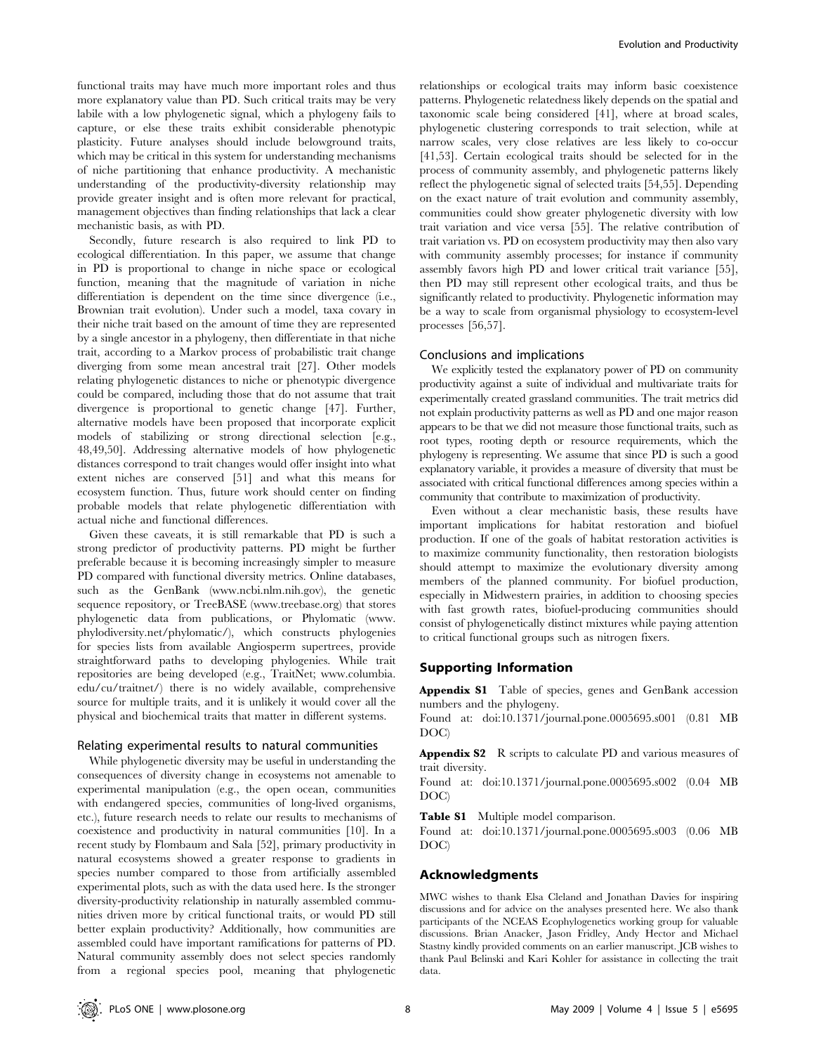functional traits may have much more important roles and thus more explanatory value than PD. Such critical traits may be very labile with a low phylogenetic signal, which a phylogeny fails to capture, or else these traits exhibit considerable phenotypic plasticity. Future analyses should include belowground traits, which may be critical in this system for understanding mechanisms of niche partitioning that enhance productivity. A mechanistic understanding of the productivity-diversity relationship may provide greater insight and is often more relevant for practical, management objectives than finding relationships that lack a clear mechanistic basis, as with PD.

Secondly, future research is also required to link PD to ecological differentiation. In this paper, we assume that change in PD is proportional to change in niche space or ecological function, meaning that the magnitude of variation in niche differentiation is dependent on the time since divergence (i.e., Brownian trait evolution). Under such a model, taxa covary in their niche trait based on the amount of time they are represented by a single ancestor in a phylogeny, then differentiate in that niche trait, according to a Markov process of probabilistic trait change diverging from some mean ancestral trait [27]. Other models relating phylogenetic distances to niche or phenotypic divergence could be compared, including those that do not assume that trait divergence is proportional to genetic change [47]. Further, alternative models have been proposed that incorporate explicit models of stabilizing or strong directional selection [e.g., 48,49,50]. Addressing alternative models of how phylogenetic distances correspond to trait changes would offer insight into what extent niches are conserved [51] and what this means for ecosystem function. Thus, future work should center on finding probable models that relate phylogenetic differentiation with actual niche and functional differences.

Given these caveats, it is still remarkable that PD is such a strong predictor of productivity patterns. PD might be further preferable because it is becoming increasingly simpler to measure PD compared with functional diversity metrics. Online databases, such as the GenBank (www.ncbi.nlm.nih.gov), the genetic sequence repository, or TreeBASE (www.treebase.org) that stores phylogenetic data from publications, or Phylomatic (www. phylodiversity.net/phylomatic/), which constructs phylogenies for species lists from available Angiosperm supertrees, provide straightforward paths to developing phylogenies. While trait repositories are being developed (e.g., TraitNet; www.columbia. edu/cu/traitnet/) there is no widely available, comprehensive source for multiple traits, and it is unlikely it would cover all the physical and biochemical traits that matter in different systems.

#### Relating experimental results to natural communities

While phylogenetic diversity may be useful in understanding the consequences of diversity change in ecosystems not amenable to experimental manipulation (e.g., the open ocean, communities with endangered species, communities of long-lived organisms, etc.), future research needs to relate our results to mechanisms of coexistence and productivity in natural communities [10]. In a recent study by Flombaum and Sala [52], primary productivity in natural ecosystems showed a greater response to gradients in species number compared to those from artificially assembled experimental plots, such as with the data used here. Is the stronger diversity-productivity relationship in naturally assembled communities driven more by critical functional traits, or would PD still better explain productivity? Additionally, how communities are assembled could have important ramifications for patterns of PD. Natural community assembly does not select species randomly from a regional species pool, meaning that phylogenetic

relationships or ecological traits may inform basic coexistence patterns. Phylogenetic relatedness likely depends on the spatial and taxonomic scale being considered [41], where at broad scales, phylogenetic clustering corresponds to trait selection, while at narrow scales, very close relatives are less likely to co-occur [41,53]. Certain ecological traits should be selected for in the process of community assembly, and phylogenetic patterns likely reflect the phylogenetic signal of selected traits [54,55]. Depending on the exact nature of trait evolution and community assembly, communities could show greater phylogenetic diversity with low trait variation and vice versa [55]. The relative contribution of trait variation vs. PD on ecosystem productivity may then also vary with community assembly processes; for instance if community assembly favors high PD and lower critical trait variance [55], then PD may still represent other ecological traits, and thus be significantly related to productivity. Phylogenetic information may be a way to scale from organismal physiology to ecosystem-level processes [56,57].

### Conclusions and implications

We explicitly tested the explanatory power of PD on community productivity against a suite of individual and multivariate traits for experimentally created grassland communities. The trait metrics did not explain productivity patterns as well as PD and one major reason appears to be that we did not measure those functional traits, such as root types, rooting depth or resource requirements, which the phylogeny is representing. We assume that since PD is such a good explanatory variable, it provides a measure of diversity that must be associated with critical functional differences among species within a community that contribute to maximization of productivity.

Even without a clear mechanistic basis, these results have important implications for habitat restoration and biofuel production. If one of the goals of habitat restoration activities is to maximize community functionality, then restoration biologists should attempt to maximize the evolutionary diversity among members of the planned community. For biofuel production, especially in Midwestern prairies, in addition to choosing species with fast growth rates, biofuel-producing communities should consist of phylogenetically distinct mixtures while paying attention to critical functional groups such as nitrogen fixers.

## Supporting Information

Appendix S1 Table of species, genes and GenBank accession numbers and the phylogeny.

Found at: doi:10.1371/journal.pone.0005695.s001 (0.81 MB DOC)

Appendix S2 R scripts to calculate PD and various measures of trait diversity.

Found at: doi:10.1371/journal.pone.0005695.s002 (0.04 MB DOC)

Table S1 Multiple model comparison.

Found at: doi:10.1371/journal.pone.0005695.s003 (0.06 MB DOC)

## Acknowledgments

MWC wishes to thank Elsa Cleland and Jonathan Davies for inspiring discussions and for advice on the analyses presented here. We also thank participants of the NCEAS Ecophylogenetics working group for valuable discussions. Brian Anacker, Jason Fridley, Andy Hector and Michael Stastny kindly provided comments on an earlier manuscript. JCB wishes to thank Paul Belinski and Kari Kohler for assistance in collecting the trait data.